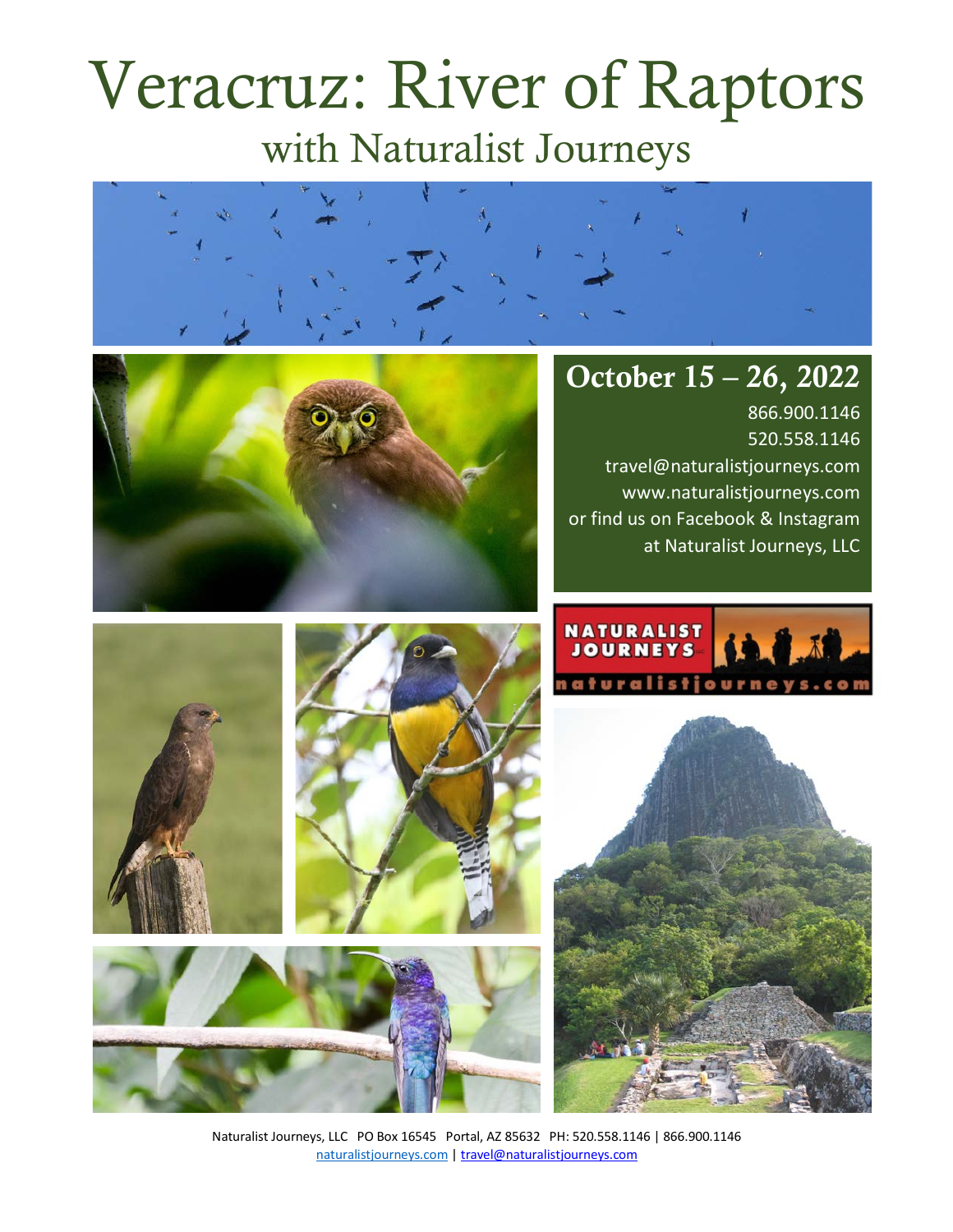# Veracruz: River of Raptors with Naturalist Journeys





# October 15 – 26, 2022

866.900.1146 520.558.1146 travel@naturalistjourneys.com www.naturalistjourneys.com or find us on Facebook & Instagram at Naturalist Journeys, LLC









Naturalist Journeys, LLC PO Box 16545 Portal, AZ 85632 PH: 520.558.1146 | 866.900.1146 naturalistjourneys.com | travel@naturalistjourneys.com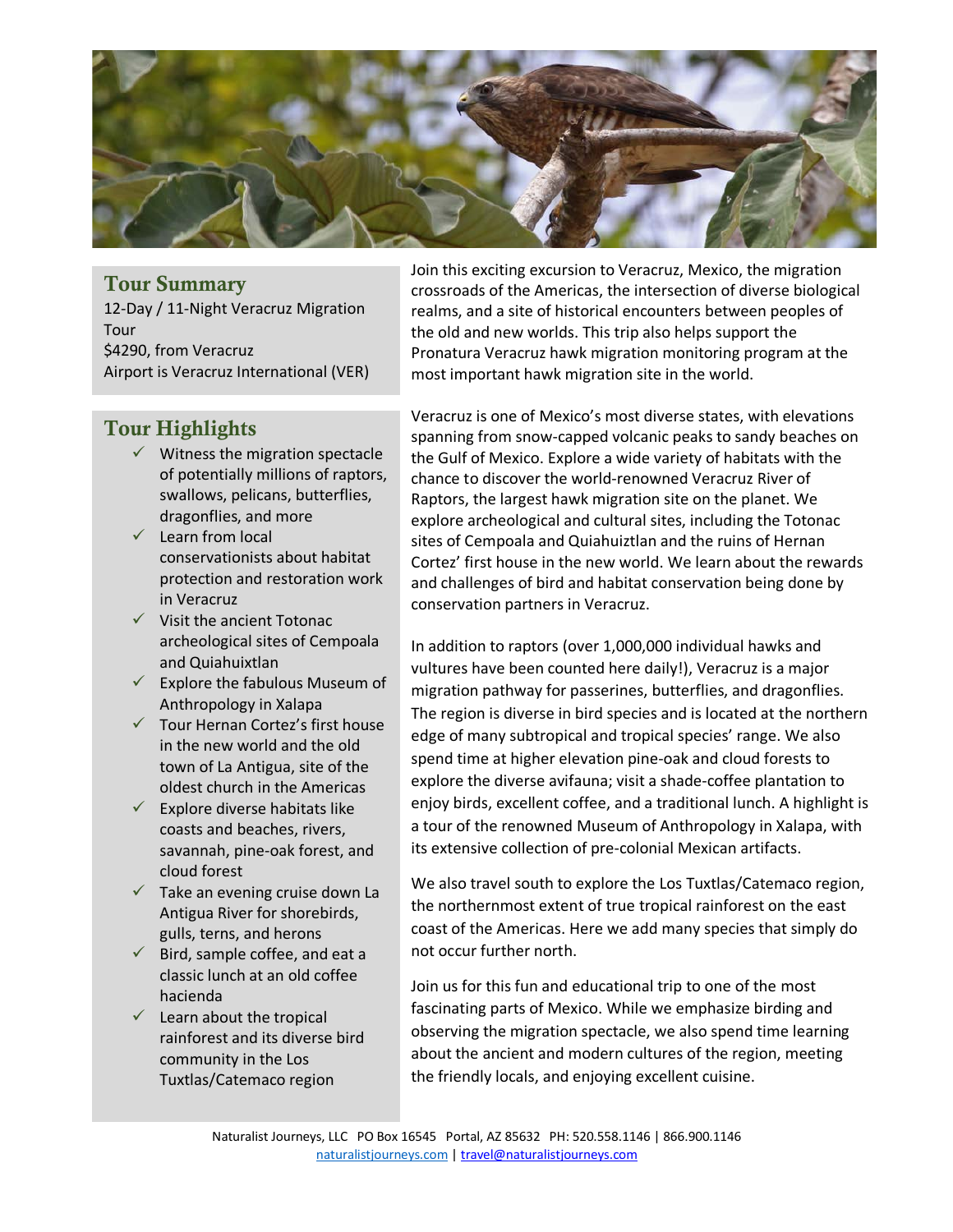

#### Tour Summary

12-Day / 11-Night Veracruz Migration Tour \$4290, from Veracruz Airport is Veracruz International (VER)

#### Tour Highlights

- $\checkmark$  Witness the migration spectacle of potentially millions of raptors, swallows, pelicans, butterflies, dragonflies, and more
- $\checkmark$  Learn from local conservationists about habitat protection and restoration work in Veracruz
- $\checkmark$  Visit the ancient Totonac archeological sites of Cempoala and Quiahuixtlan
- $\checkmark$  Explore the fabulous Museum of Anthropology in Xalapa
- $\checkmark$  Tour Hernan Cortez's first house in the new world and the old town of La Antigua, site of the oldest church in the Americas
- $\checkmark$  Explore diverse habitats like coasts and beaches, rivers, savannah, pine-oak forest, and cloud forest
- $\checkmark$  Take an evening cruise down La Antigua River for shorebirds, gulls, terns, and herons
- $\checkmark$  Bird, sample coffee, and eat a classic lunch at an old coffee hacienda
- $\checkmark$  Learn about the tropical rainforest and its diverse bird community in the Los Tuxtlas/Catemaco region

Join this exciting excursion to Veracruz, Mexico, the migration crossroads of the Americas, the intersection of diverse biological realms, and a site of historical encounters between peoples of the old and new worlds. This trip also helps support the Pronatura Veracruz hawk migration monitoring program at the most important hawk migration site in the world.

Veracruz is one of Mexico's most diverse states, with elevations spanning from snow-capped volcanic peaks to sandy beaches on the Gulf of Mexico. Explore a wide variety of habitats with the chance to discover the world-renowned Veracruz River of Raptors, the largest hawk migration site on the planet. We explore archeological and cultural sites, including the Totonac sites of Cempoala and Quiahuiztlan and the ruins of Hernan Cortez' first house in the new world. We learn about the rewards and challenges of bird and habitat conservation being done by conservation partners in Veracruz.

In addition to raptors (over 1,000,000 individual hawks and vultures have been counted here daily!), Veracruz is a major migration pathway for passerines, butterflies, and dragonflies. The region is diverse in bird species and is located at the northern edge of many subtropical and tropical species' range. We also spend time at higher elevation pine-oak and cloud forests to explore the diverse avifauna; visit a shade-coffee plantation to enjoy birds, excellent coffee, and a traditional lunch. A highlight is a tour of the renowned Museum of Anthropology in Xalapa, with its extensive collection of pre-colonial Mexican artifacts.

We also travel south to explore the Los Tuxtlas/Catemaco region, the northernmost extent of true tropical rainforest on the east coast of the Americas. Here we add many species that simply do not occur further north.

Join us for this fun and educational trip to one of the most fascinating parts of Mexico. While we emphasize birding and observing the migration spectacle, we also spend time learning about the ancient and modern cultures of the region, meeting the friendly locals, and enjoying excellent cuisine.

Naturalist Journeys, LLC PO Box 16545 Portal, AZ 85632 PH: 520.558.1146 | 866.900.1146 naturalistjourneys.com | travel@naturalistjourneys.com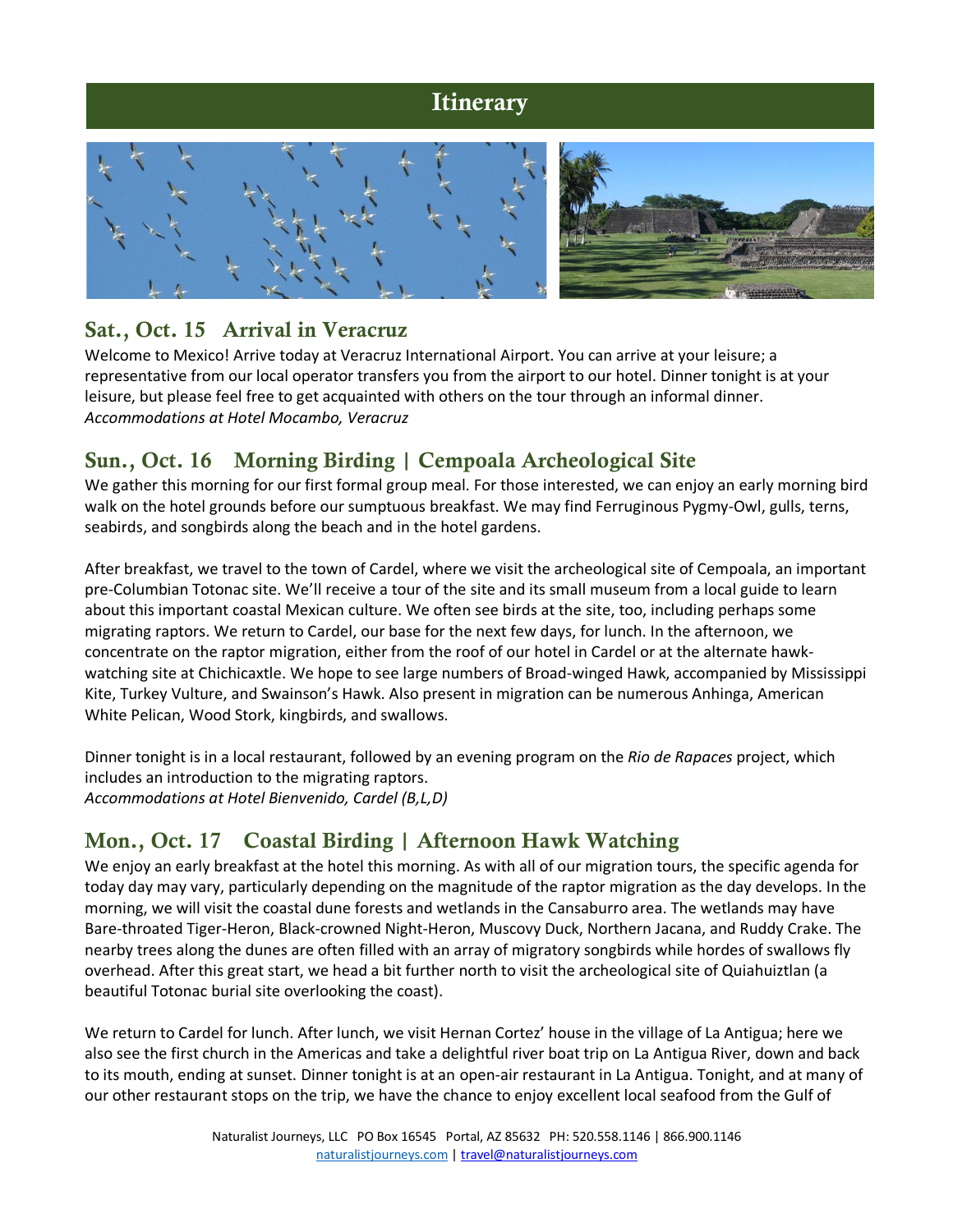## **Itinerary**



#### Sat., Oct. 15 Arrival in Veracruz

Welcome to Mexico! Arrive today at Veracruz International Airport. You can arrive at your leisure; a representative from our local operator transfers you from the airport to our hotel. Dinner tonight is at your leisure, but please feel free to get acquainted with others on the tour through an informal dinner. *Accommodations at Hotel Mocambo, Veracruz*

## Sun., Oct. 16 Morning Birding | Cempoala Archeological Site

We gather this morning for our first formal group meal. For those interested, we can enjoy an early morning bird walk on the hotel grounds before our sumptuous breakfast. We may find Ferruginous Pygmy-Owl, gulls, terns, seabirds, and songbirds along the beach and in the hotel gardens.

After breakfast, we travel to the town of Cardel, where we visit the archeological site of Cempoala, an important pre-Columbian Totonac site. We'll receive a tour of the site and its small museum from a local guide to learn about this important coastal Mexican culture. We often see birds at the site, too, including perhaps some migrating raptors. We return to Cardel, our base for the next few days, for lunch. In the afternoon, we concentrate on the raptor migration, either from the roof of our hotel in Cardel or at the alternate hawkwatching site at Chichicaxtle. We hope to see large numbers of Broad-winged Hawk, accompanied by Mississippi Kite, Turkey Vulture, and Swainson's Hawk. Also present in migration can be numerous Anhinga, American White Pelican, Wood Stork, kingbirds, and swallows.

Dinner tonight is in a local restaurant, followed by an evening program on the *Rio de Rapaces* project, which includes an introduction to the migrating raptors. *Accommodations at Hotel Bienvenido, Cardel (B,L,D)*

## Mon., Oct. 17 Coastal Birding | Afternoon Hawk Watching

We enjoy an early breakfast at the hotel this morning. As with all of our migration tours, the specific agenda for today day may vary, particularly depending on the magnitude of the raptor migration as the day develops. In the morning, we will visit the coastal dune forests and wetlands in the Cansaburro area. The wetlands may have Bare-throated Tiger-Heron, Black-crowned Night-Heron, Muscovy Duck, Northern Jacana, and Ruddy Crake. The nearby trees along the dunes are often filled with an array of migratory songbirds while hordes of swallows fly overhead. After this great start, we head a bit further north to visit the archeological site of Quiahuiztlan (a beautiful Totonac burial site overlooking the coast).

We return to Cardel for lunch. After lunch, we visit Hernan Cortez' house in the village of La Antigua; here we also see the first church in the Americas and take a delightful river boat trip on La Antigua River, down and back to its mouth, ending at sunset. Dinner tonight is at an open-air restaurant in La Antigua. Tonight, and at many of our other restaurant stops on the trip, we have the chance to enjoy excellent local seafood from the Gulf of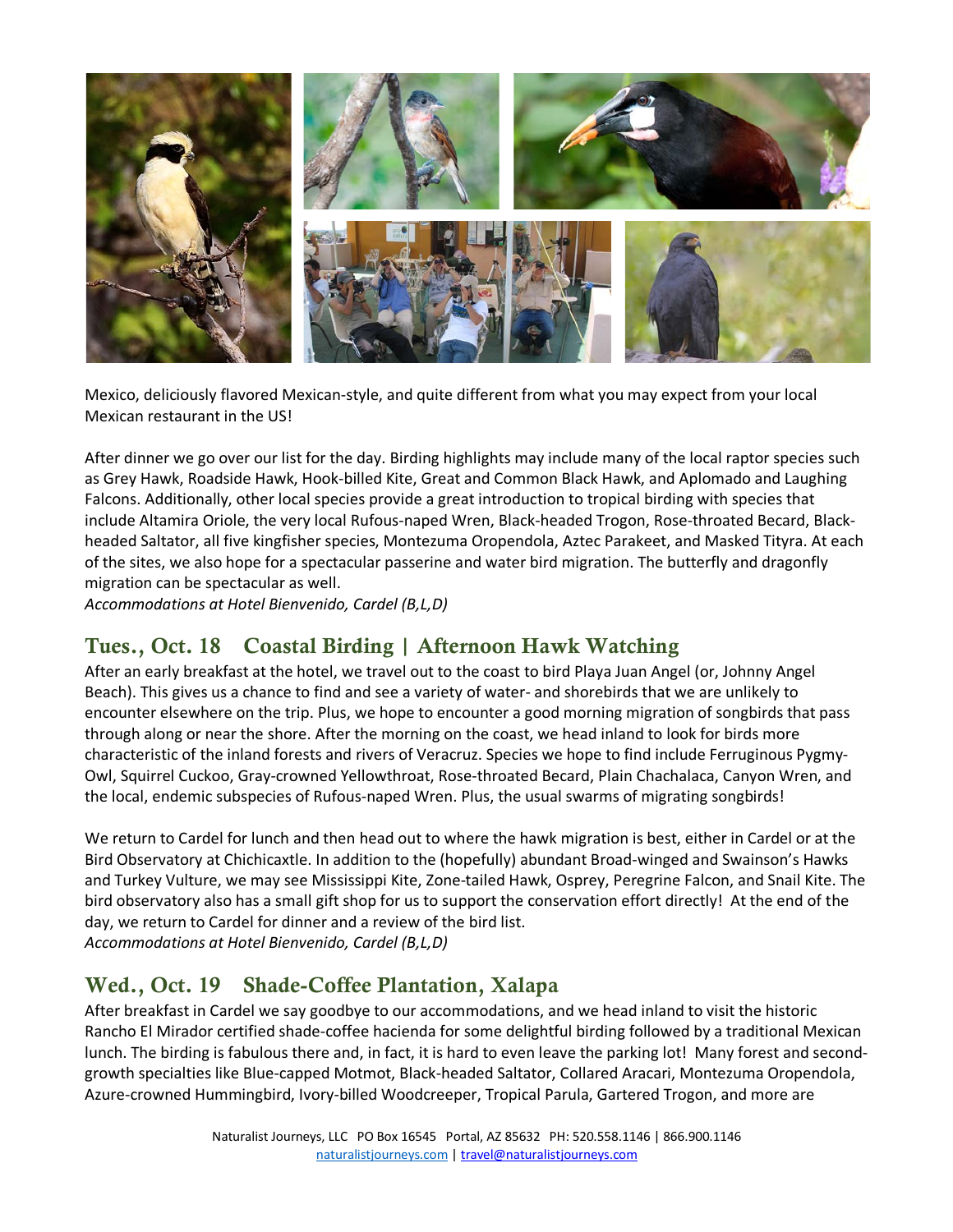

Mexico, deliciously flavored Mexican-style, and quite different from what you may expect from your local Mexican restaurant in the US!

After dinner we go over our list for the day. Birding highlights may include many of the local raptor species such as Grey Hawk, Roadside Hawk, Hook-billed Kite, Great and Common Black Hawk, and Aplomado and Laughing Falcons. Additionally, other local species provide a great introduction to tropical birding with species that include Altamira Oriole, the very local Rufous-naped Wren, Black-headed Trogon, Rose-throated Becard, Blackheaded Saltator, all five kingfisher species, Montezuma Oropendola, Aztec Parakeet, and Masked Tityra. At each of the sites, we also hope for a spectacular passerine and water bird migration. The butterfly and dragonfly migration can be spectacular as well.

*Accommodations at Hotel Bienvenido, Cardel (B,L,D)*

#### Tues., Oct. 18 Coastal Birding | Afternoon Hawk Watching

After an early breakfast at the hotel, we travel out to the coast to bird Playa Juan Angel (or, Johnny Angel Beach). This gives us a chance to find and see a variety of water- and shorebirds that we are unlikely to encounter elsewhere on the trip. Plus, we hope to encounter a good morning migration of songbirds that pass through along or near the shore. After the morning on the coast, we head inland to look for birds more characteristic of the inland forests and rivers of Veracruz. Species we hope to find include Ferruginous Pygmy-Owl, Squirrel Cuckoo, Gray-crowned Yellowthroat, Rose-throated Becard, Plain Chachalaca, Canyon Wren, and the local, endemic subspecies of Rufous-naped Wren. Plus, the usual swarms of migrating songbirds!

We return to Cardel for lunch and then head out to where the hawk migration is best, either in Cardel or at the Bird Observatory at Chichicaxtle. In addition to the (hopefully) abundant Broad-winged and Swainson's Hawks and Turkey Vulture, we may see Mississippi Kite, Zone-tailed Hawk, Osprey, Peregrine Falcon, and Snail Kite. The bird observatory also has a small gift shop for us to support the conservation effort directly! At the end of the day, we return to Cardel for dinner and a review of the bird list. *Accommodations at Hotel Bienvenido, Cardel (B,L,D)*

#### Wed., Oct. 19 Shade-Coffee Plantation, Xalapa

After breakfast in Cardel we say goodbye to our accommodations, and we head inland to visit the historic Rancho El Mirador certified shade-coffee hacienda for some delightful birding followed by a traditional Mexican lunch. The birding is fabulous there and, in fact, it is hard to even leave the parking lot! Many forest and secondgrowth specialties like Blue-capped Motmot, Black-headed Saltator, Collared Aracari, Montezuma Oropendola, Azure-crowned Hummingbird, Ivory-billed Woodcreeper, Tropical Parula, Gartered Trogon, and more are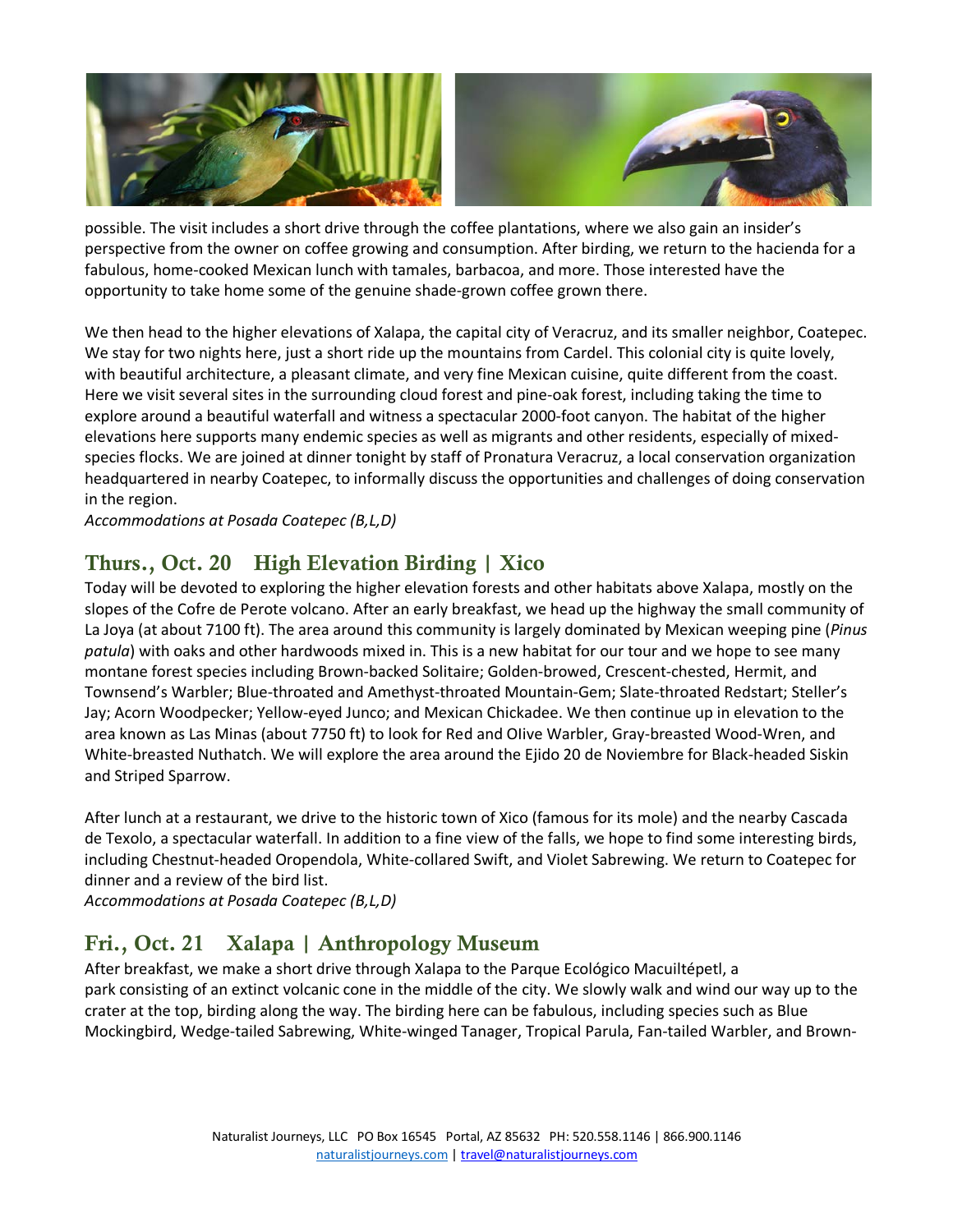

possible. The visit includes a short drive through the coffee plantations, where we also gain an insider's perspective from the owner on coffee growing and consumption. After birding, we return to the hacienda for a fabulous, home-cooked Mexican lunch with tamales, barbacoa, and more. Those interested have the opportunity to take home some of the genuine shade-grown coffee grown there.

We then head to the higher elevations of Xalapa, the capital city of Veracruz, and its smaller neighbor, Coatepec. We stay for two nights here, just a short ride up the mountains from Cardel. This colonial city is quite lovely, with beautiful architecture, a pleasant climate, and very fine Mexican cuisine, quite different from the coast. Here we visit several sites in the surrounding cloud forest and pine-oak forest, including taking the time to explore around a beautiful waterfall and witness a spectacular 2000-foot canyon. The habitat of the higher elevations here supports many endemic species as well as migrants and other residents, especially of mixedspecies flocks. We are joined at dinner tonight by staff of Pronatura Veracruz, a local conservation organization headquartered in nearby Coatepec, to informally discuss the opportunities and challenges of doing conservation in the region.

*Accommodations at Posada Coatepec (B,L,D)*

# Thurs., Oct. 20 High Elevation Birding | Xico

Today will be devoted to exploring the higher elevation forests and other habitats above Xalapa, mostly on the slopes of the Cofre de Perote volcano. After an early breakfast, we head up the highway the small community of La Joya (at about 7100 ft). The area around this community is largely dominated by Mexican weeping pine (*Pinus patula*) with oaks and other hardwoods mixed in. This is a new habitat for our tour and we hope to see many montane forest species including Brown-backed Solitaire; Golden-browed, Crescent-chested, Hermit, and Townsend's Warbler; Blue-throated and Amethyst-throated Mountain-Gem; Slate-throated Redstart; Steller's Jay; Acorn Woodpecker; Yellow-eyed Junco; and Mexican Chickadee. We then continue up in elevation to the area known as Las Minas (about 7750 ft) to look for Red and OIive Warbler, Gray-breasted Wood-Wren, and White-breasted Nuthatch. We will explore the area around the Ejido 20 de Noviembre for Black-headed Siskin and Striped Sparrow.

After lunch at a restaurant, we drive to the historic town of Xico (famous for its mole) and the nearby Cascada de Texolo, a spectacular waterfall. In addition to a fine view of the falls, we hope to find some interesting birds, including Chestnut-headed Oropendola, White-collared Swift, and Violet Sabrewing. We return to Coatepec for dinner and a review of the bird list.

*Accommodations at Posada Coatepec (B,L,D)*

## Fri., Oct. 21 Xalapa | Anthropology Museum

After breakfast, we make a short drive through Xalapa to the Parque Ecológico Macuiltépetl, a park consisting of an extinct volcanic cone in the middle of the city. We slowly walk and wind our way up to the crater at the top, birding along the way. The birding here can be fabulous, including species such as Blue Mockingbird, Wedge-tailed Sabrewing, White-winged Tanager, Tropical Parula, Fan-tailed Warbler, and Brown-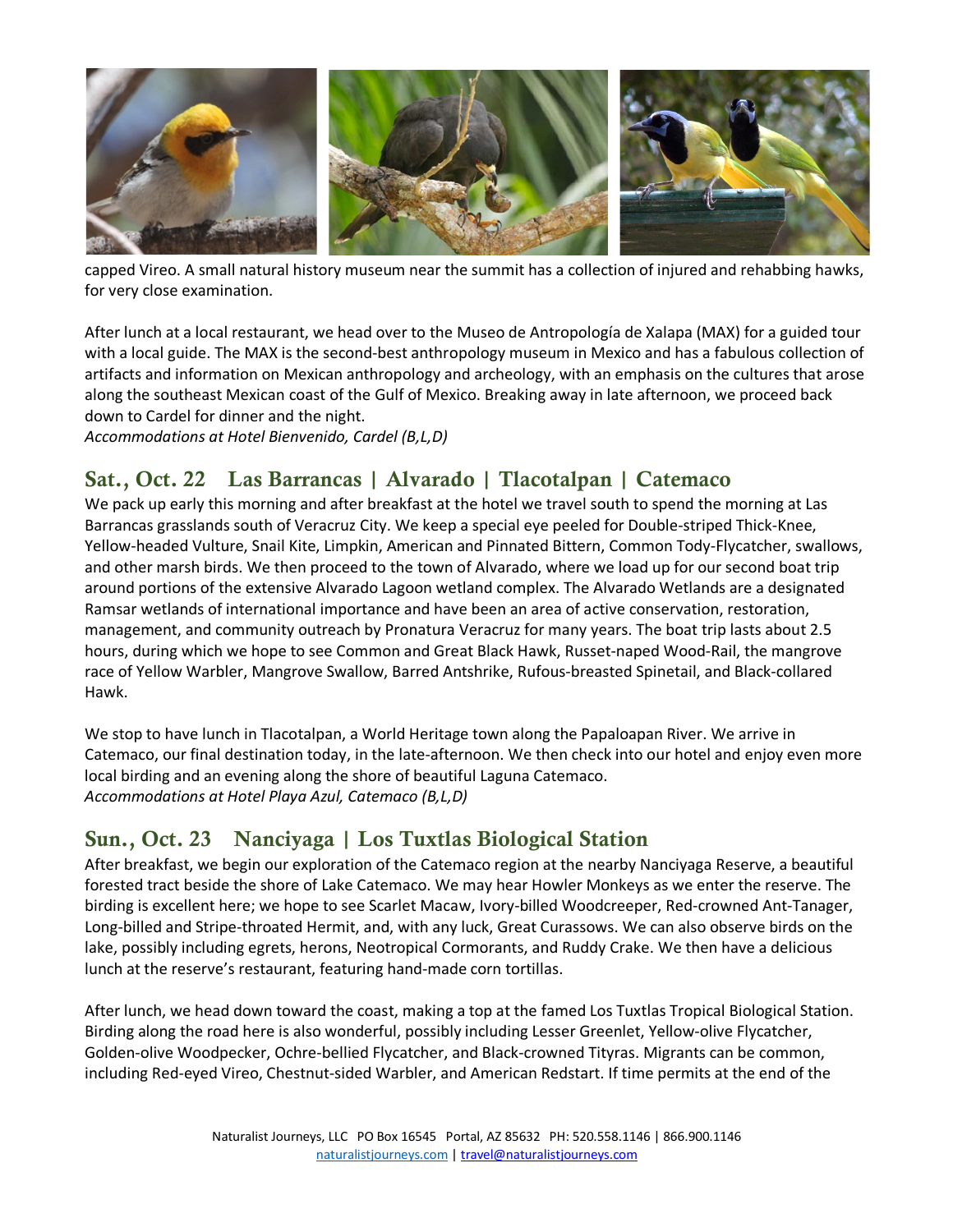

capped Vireo. A small natural history museum near the summit has a collection of injured and rehabbing hawks, for very close examination.

After lunch at a local restaurant, we head over to the Museo de Antropología de Xalapa (MAX) for a guided tour with a local guide. The MAX is the second-best anthropology museum in Mexico and has a fabulous collection of artifacts and information on Mexican anthropology and archeology, with an emphasis on the cultures that arose along the southeast Mexican coast of the Gulf of Mexico. Breaking away in late afternoon, we proceed back down to Cardel for dinner and the night.

*Accommodations at Hotel Bienvenido, Cardel (B,L,D)*

## Sat., Oct. 22 Las Barrancas | Alvarado | Tlacotalpan | Catemaco

We pack up early this morning and after breakfast at the hotel we travel south to spend the morning at Las Barrancas grasslands south of Veracruz City. We keep a special eye peeled for Double-striped Thick-Knee, Yellow-headed Vulture, Snail Kite, Limpkin, American and Pinnated Bittern, Common Tody-Flycatcher, swallows, and other marsh birds. We then proceed to the town of Alvarado, where we load up for our second boat trip around portions of the extensive Alvarado Lagoon wetland complex. The Alvarado Wetlands are a designated Ramsar wetlands of international importance and have been an area of active conservation, restoration, management, and community outreach by Pronatura Veracruz for many years. The boat trip lasts about 2.5 hours, during which we hope to see Common and Great Black Hawk, Russet-naped Wood-Rail, the mangrove race of Yellow Warbler, Mangrove Swallow, Barred Antshrike, Rufous-breasted Spinetail, and Black-collared Hawk.

We stop to have lunch in Tlacotalpan, a World Heritage town along the Papaloapan River. We arrive in Catemaco, our final destination today, in the late-afternoon. We then check into our hotel and enjoy even more local birding and an evening along the shore of beautiful Laguna Catemaco. *Accommodations at Hotel Playa Azul, Catemaco (B,L,D)*

#### Sun., Oct. 23 Nanciyaga | Los Tuxtlas Biological Station

After breakfast, we begin our exploration of the Catemaco region at the nearby Nanciyaga Reserve, a beautiful forested tract beside the shore of Lake Catemaco. We may hear Howler Monkeys as we enter the reserve. The birding is excellent here; we hope to see Scarlet Macaw, Ivory-billed Woodcreeper, Red-crowned Ant-Tanager, Long-billed and Stripe-throated Hermit, and, with any luck, Great Curassows. We can also observe birds on the lake, possibly including egrets, herons, Neotropical Cormorants, and Ruddy Crake. We then have a delicious lunch at the reserve's restaurant, featuring hand-made corn tortillas.

After lunch, we head down toward the coast, making a top at the famed Los Tuxtlas Tropical Biological Station. Birding along the road here is also wonderful, possibly including Lesser Greenlet, Yellow-olive Flycatcher, Golden-olive Woodpecker, Ochre-bellied Flycatcher, and Black-crowned Tityras. Migrants can be common, including Red-eyed Vireo, Chestnut-sided Warbler, and American Redstart. If time permits at the end of the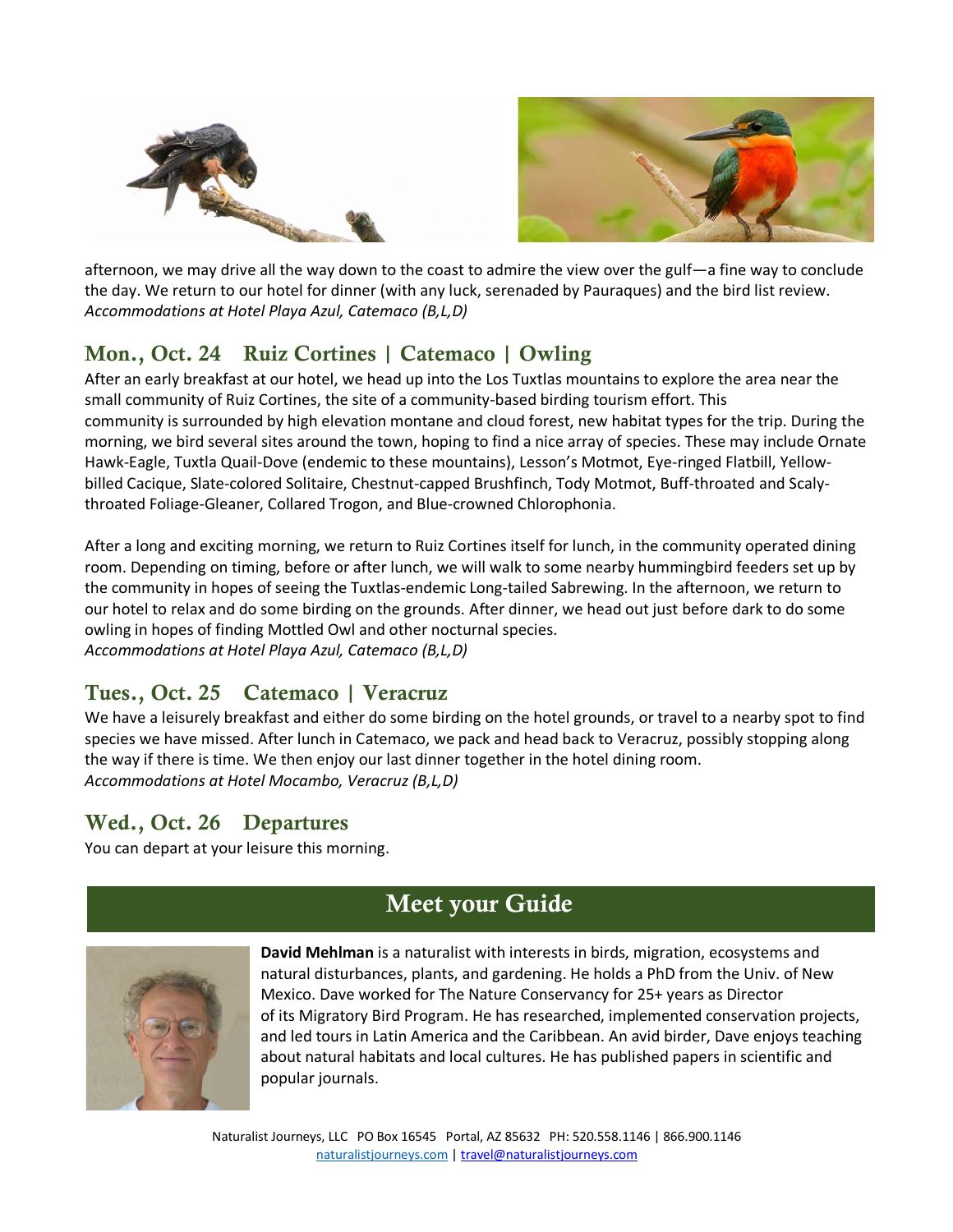

afternoon, we may drive all the way down to the coast to admire the view over the gulf—a fine way to conclude the day. We return to our hotel for dinner (with any luck, serenaded by Pauraques) and the bird list review. *Accommodations at Hotel Playa Azul, Catemaco (B,L,D)*

# Mon., Oct. 24 Ruiz Cortines | Catemaco | Owling

After an early breakfast at our hotel, we head up into the Los Tuxtlas mountains to explore the area near the small community of Ruiz Cortines, the site of a community-based birding tourism effort. This community is surrounded by high elevation montane and cloud forest, new habitat types for the trip. During the morning, we bird several sites around the town, hoping to find a nice array of species. These may include Ornate Hawk-Eagle, Tuxtla Quail-Dove (endemic to these mountains), Lesson's Motmot, Eye-ringed Flatbill, Yellowbilled Cacique, Slate-colored Solitaire, Chestnut-capped Brushfinch, Tody Motmot, Buff-throated and Scalythroated Foliage-Gleaner, Collared Trogon, and Blue-crowned Chlorophonia.

After a long and exciting morning, we return to Ruiz Cortines itself for lunch, in the community operated dining room. Depending on timing, before or after lunch, we will walk to some nearby hummingbird feeders set up by the community in hopes of seeing the Tuxtlas-endemic Long-tailed Sabrewing. In the afternoon, we return to our hotel to relax and do some birding on the grounds. After dinner, we head out just before dark to do some owling in hopes of finding Mottled Owl and other nocturnal species. *Accommodations at Hotel Playa Azul, Catemaco (B,L,D)*

## Tues., Oct. 25 Catemaco | Veracruz

We have a leisurely breakfast and either do some birding on the hotel grounds, or travel to a nearby spot to find species we have missed. After lunch in Catemaco, we pack and head back to Veracruz, possibly stopping along the way if there is time. We then enjoy our last dinner together in the hotel dining room. *Accommodations at Hotel Mocambo, Veracruz (B,L,D)*

#### Wed., Oct. 26 Departures

You can depart at your leisure this morning.

# Meet your Guide



**David Mehlman** is a naturalist with interests in birds, migration, ecosystems and natural disturbances, plants, and gardening. He holds a PhD from the Univ. of New Mexico. Dave worked for The Nature Conservancy for 25+ years as Director of its Migratory Bird Program. He has researched, implemented conservation projects, and led tours in Latin America and the Caribbean. An avid birder, Dave enjoys teaching about natural habitats and local cultures. He has published papers in scientific and popular journals.